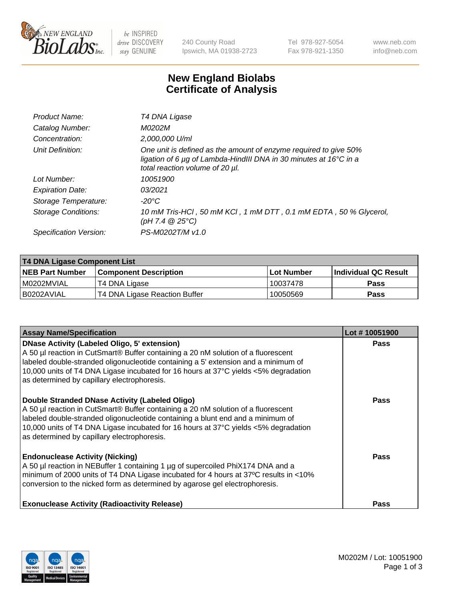

 $be$  INSPIRED drive DISCOVERY stay GENUINE

240 County Road Ipswich, MA 01938-2723 Tel 978-927-5054 Fax 978-921-1350 www.neb.com info@neb.com

## **New England Biolabs Certificate of Analysis**

| Product Name:              | T4 DNA Ligase                                                                                                                                                                           |
|----------------------------|-----------------------------------------------------------------------------------------------------------------------------------------------------------------------------------------|
| Catalog Number:            | M0202M                                                                                                                                                                                  |
| Concentration:             | 2,000,000 U/ml                                                                                                                                                                          |
| Unit Definition:           | One unit is defined as the amount of enzyme required to give 50%<br>ligation of 6 $\mu$ g of Lambda-HindIII DNA in 30 minutes at 16 $\degree$ C in a<br>total reaction volume of 20 µl. |
| Lot Number:                | 10051900                                                                                                                                                                                |
| <b>Expiration Date:</b>    | 03/2021                                                                                                                                                                                 |
| Storage Temperature:       | -20°C                                                                                                                                                                                   |
| <b>Storage Conditions:</b> | 10 mM Tris-HCl, 50 mM KCl, 1 mM DTT, 0.1 mM EDTA, 50 % Glycerol,<br>(pH 7.4 $@25°C$ )                                                                                                   |
| Specification Version:     | PS-M0202T/M v1.0                                                                                                                                                                        |

| T4 DNA Ligase Component List |                               |              |                             |  |
|------------------------------|-------------------------------|--------------|-----------------------------|--|
| <b>NEB Part Number</b>       | l Component Description       | l Lot Number | <b>Individual QC Result</b> |  |
| I M0202MVIAL                 | T4 DNA Ligase                 | 10037478     | <b>Pass</b>                 |  |
| I B0202AVIAL                 | T4 DNA Ligase Reaction Buffer | 10050569     | <b>Pass</b>                 |  |

| <b>Assay Name/Specification</b>                                                                                                                                                                                                                                                                                                                                      | Lot #10051900 |
|----------------------------------------------------------------------------------------------------------------------------------------------------------------------------------------------------------------------------------------------------------------------------------------------------------------------------------------------------------------------|---------------|
| <b>DNase Activity (Labeled Oligo, 5' extension)</b><br>A 50 µl reaction in CutSmart® Buffer containing a 20 nM solution of a fluorescent<br>labeled double-stranded oligonucleotide containing a 5' extension and a minimum of<br>10,000 units of T4 DNA Ligase incubated for 16 hours at 37°C yields <5% degradation<br>as determined by capillary electrophoresis. | <b>Pass</b>   |
| Double Stranded DNase Activity (Labeled Oligo)<br>A 50 µl reaction in CutSmart® Buffer containing a 20 nM solution of a fluorescent<br>labeled double-stranded oligonucleotide containing a blunt end and a minimum of<br>10,000 units of T4 DNA Ligase incubated for 16 hours at 37°C yields <5% degradation<br>as determined by capillary electrophoresis.         | <b>Pass</b>   |
| <b>Endonuclease Activity (Nicking)</b><br>A 50 µl reaction in NEBuffer 1 containing 1 µg of supercoiled PhiX174 DNA and a<br>minimum of 2000 units of T4 DNA Ligase incubated for 4 hours at 37°C results in <10%<br>conversion to the nicked form as determined by agarose gel electrophoresis.                                                                     | Pass          |
| <b>Exonuclease Activity (Radioactivity Release)</b>                                                                                                                                                                                                                                                                                                                  | <b>Pass</b>   |

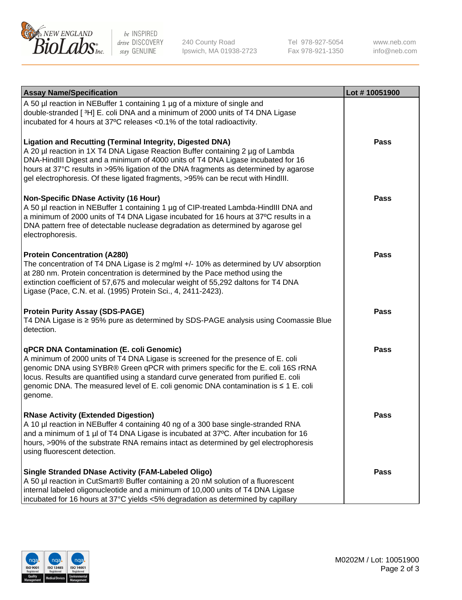

be INSPIRED drive DISCOVERY stay GENUINE

240 County Road Ipswich, MA 01938-2723 Tel 978-927-5054 Fax 978-921-1350

www.neb.com info@neb.com

| <b>Assay Name/Specification</b>                                                                                                                                                                                                                                                                                                                                                                                    | Lot #10051900 |
|--------------------------------------------------------------------------------------------------------------------------------------------------------------------------------------------------------------------------------------------------------------------------------------------------------------------------------------------------------------------------------------------------------------------|---------------|
| A 50 µl reaction in NEBuffer 1 containing 1 µg of a mixture of single and<br>double-stranded [3H] E. coli DNA and a minimum of 2000 units of T4 DNA Ligase<br>incubated for 4 hours at 37°C releases <0.1% of the total radioactivity.                                                                                                                                                                             |               |
| <b>Ligation and Recutting (Terminal Integrity, Digested DNA)</b><br>A 20 µl reaction in 1X T4 DNA Ligase Reaction Buffer containing 2 µg of Lambda<br>DNA-HindIII Digest and a minimum of 4000 units of T4 DNA Ligase incubated for 16<br>hours at 37°C results in >95% ligation of the DNA fragments as determined by agarose<br>gel electrophoresis. Of these ligated fragments, >95% can be recut with HindIII. | Pass          |
| <b>Non-Specific DNase Activity (16 Hour)</b><br>A 50 µl reaction in NEBuffer 1 containing 1 µg of CIP-treated Lambda-HindIII DNA and<br>a minimum of 2000 units of T4 DNA Ligase incubated for 16 hours at 37°C results in a<br>DNA pattern free of detectable nuclease degradation as determined by agarose gel<br>electrophoresis.                                                                               | Pass          |
| <b>Protein Concentration (A280)</b><br>The concentration of T4 DNA Ligase is 2 mg/ml +/- 10% as determined by UV absorption<br>at 280 nm. Protein concentration is determined by the Pace method using the<br>extinction coefficient of 57,675 and molecular weight of 55,292 daltons for T4 DNA<br>Ligase (Pace, C.N. et al. (1995) Protein Sci., 4, 2411-2423).                                                  | Pass          |
| <b>Protein Purity Assay (SDS-PAGE)</b><br>T4 DNA Ligase is ≥ 95% pure as determined by SDS-PAGE analysis using Coomassie Blue<br>detection.                                                                                                                                                                                                                                                                        | Pass          |
| qPCR DNA Contamination (E. coli Genomic)<br>A minimum of 2000 units of T4 DNA Ligase is screened for the presence of E. coli<br>genomic DNA using SYBR® Green qPCR with primers specific for the E. coli 16S rRNA<br>locus. Results are quantified using a standard curve generated from purified E. coli<br>genomic DNA. The measured level of E. coli genomic DNA contamination is ≤ 1 E. coli<br>genome.        | <b>Pass</b>   |
| <b>RNase Activity (Extended Digestion)</b><br>A 10 µl reaction in NEBuffer 4 containing 40 ng of a 300 base single-stranded RNA<br>and a minimum of 1 $\mu$ of T4 DNA Ligase is incubated at 37°C. After incubation for 16<br>hours, >90% of the substrate RNA remains intact as determined by gel electrophoresis<br>using fluorescent detection.                                                                 | <b>Pass</b>   |
| <b>Single Stranded DNase Activity (FAM-Labeled Oligo)</b><br>A 50 µl reaction in CutSmart® Buffer containing a 20 nM solution of a fluorescent<br>internal labeled oligonucleotide and a minimum of 10,000 units of T4 DNA Ligase<br>incubated for 16 hours at 37°C yields <5% degradation as determined by capillary                                                                                              | Pass          |